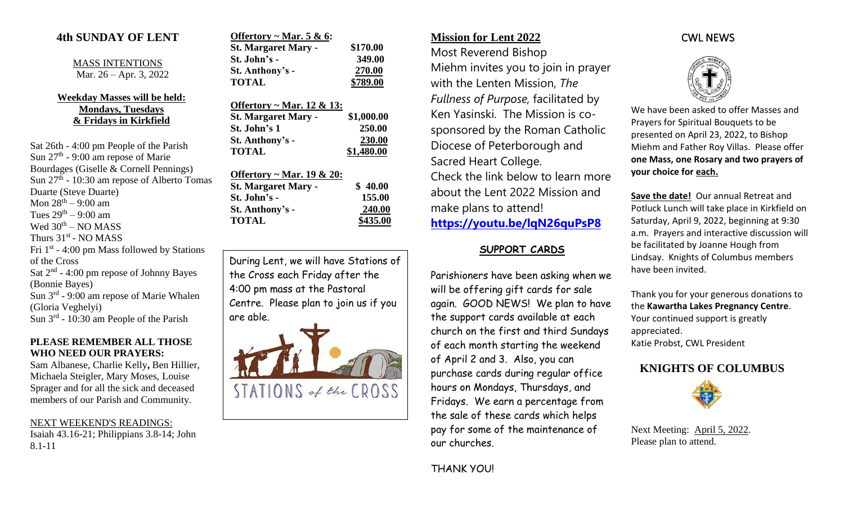### **4th SUNDAY OF LENT**

MASS INTENTIONS Mar. 26 – Apr. 3, 2022

#### **Weekday Masses will be held: Mondays, Tuesdays & Fridays in Kirkfield**

Sat 26th - 4:00 pm People of the Parish Sun  $27<sup>th</sup>$  - 9:00 am repose of Marie Bourdages (Giselle & Cornell Pennings) Sun 27<sup>th</sup> - 10:30 am repose of Alberto Tomas Duarte (Steve Duarte) Mon 28th – 9:00 am Tues  $29<sup>th</sup> - 9:00$  am Wed  $30<sup>th</sup> - NO MASS$ Thurs  $31<sup>st</sup>$  - NO MASS Fri  $1<sup>st</sup>$  - 4:00 pm Mass followed by Stations of the Cross Sat  $2<sup>nd</sup>$  - 4:00 pm repose of Johnny Bayes (Bonnie Bayes) Sun 3<sup>rd</sup> - 9:00 am repose of Marie Whalen (Gloria Veghelyi) Sun  $3^{rd}$  - 10:30 am People of the Parish

#### **PLEASE REMEMBER ALL THOSE WHO NEED OUR PRAYERS:**

Sam Albanese, Charlie Kelly**,** Ben Hillier, Michaela Steigler, Mary Moses, Louise Sprager and for all the sick and deceased members of our Parish and Community.

#### NEXT WEEKEND'S READINGS: Isaiah 43.16-21; Philippians 3.8-14; John

8.1-11

| Offertory ~ Mar. 5 & 6:    |          |
|----------------------------|----------|
| <b>St. Margaret Mary -</b> | \$170.00 |
| St. John's -               | 349.00   |
| St. Anthony's -            | 270.00   |
| <b>TOTAL</b>               | \$789.00 |

| <u> Offertory ~ Mar. 12 &amp; 13:</u> |            |
|---------------------------------------|------------|
| <b>St. Margaret Mary -</b>            | \$1,000.00 |
| St. John's 1                          | 250.00     |
| St. Anthony's -                       | 230.00     |
| <b>TOTAL</b>                          | \$1,480.00 |

| Offertory ~ Mar. 19 & 20:  |          |
|----------------------------|----------|
| <b>St. Margaret Mary -</b> | \$40.00  |
| St. John's -               | 155.00   |
| St. Anthony's -            | 240.00   |
| <b>TOTAL</b>               | \$435.00 |

During Lent, we will have Stations of the Cross each Friday after the 4:00 pm mass at the Pastoral Centre. Please plan to join us if you are able.



## **Mission for Lent 2022**

Most Reverend Bishop Miehm invites you to join in prayer with the Lenten Mission, *The Fullness of Purpose,* facilitated by Ken Yasinski. The Mission is cosponsored by the Roman Catholic Diocese of Peterborough and Sacred Heart College. Check the link below to learn more about the Lent 2022 Mission and make plans to attend! **<https://youtu.be/lqN26quPsP8>**

## **SUPPORT CARDS**

Parishioners have been asking when we will be offering gift cards for sale again. GOOD NEWS! We plan to have the support cards available at each church on the first and third Sundays of each month starting the weekend of April 2 and 3. Also, you can purchase cards during regular office hours on Mondays, Thursdays, and Fridays. We earn a percentage from the sale of these cards which helps pay for some of the maintenance of our churches.

THANK YOU!

# CWL NEWS



We have been asked to offer Masses and Prayers for Spiritual Bouquets to be presented on April 23, 2022, to Bishop Miehm and Father Roy Villas. Please offer **one Mass, one Rosary and two prayers of your choice for each.**

**Save the date!** Our annual Retreat and Potluck Lunch will take place in Kirkfield on Saturday, April 9, 2022, beginning at 9:30 a.m. Prayers and interactive discussion will be facilitated by Joanne Hough from Lindsay. Knights of Columbus members have been invited.

Thank you for your generous donations to the **Kawartha Lakes Pregnancy Centre**. Your continued support is greatly appreciated. Katie Probst, CWL President

# **KNIGHTS OF COLUMBUS**



Next Meeting: April 5, 2022. Please plan to attend.